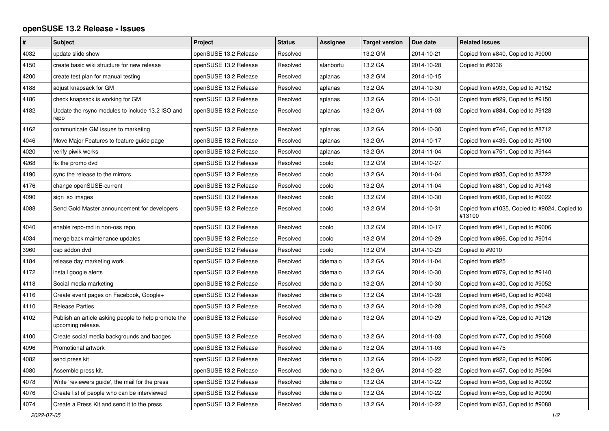## **openSUSE 13.2 Release - Issues**

| $\vert$ # | <b>Subject</b>                                                            | Project               | <b>Status</b> | Assignee  | <b>Target version</b> | Due date   | <b>Related issues</b>                                   |
|-----------|---------------------------------------------------------------------------|-----------------------|---------------|-----------|-----------------------|------------|---------------------------------------------------------|
| 4032      | update slide show                                                         | openSUSE 13.2 Release | Resolved      |           | 13.2 GM               | 2014-10-21 | Copied from #840, Copied to #9000                       |
| 4150      | create basic wiki structure for new release                               | openSUSE 13.2 Release | Resolved      | alanbortu | 13.2 GA               | 2014-10-28 | Copied to #9036                                         |
| 4200      | create test plan for manual testing                                       | openSUSE 13.2 Release | Resolved      | aplanas   | 13.2 GM               | 2014-10-15 |                                                         |
| 4188      | adjust knapsack for GM                                                    | openSUSE 13.2 Release | Resolved      | aplanas   | 13.2 GA               | 2014-10-30 | Copied from #933, Copied to #9152                       |
| 4186      | check knapsack is working for GM                                          | openSUSE 13.2 Release | Resolved      | aplanas   | 13.2 GA               | 2014-10-31 | Copied from #929, Copied to #9150                       |
| 4182      | Update the rsync modules to include 13.2 ISO and<br>repo                  | openSUSE 13.2 Release | Resolved      | aplanas   | 13.2 GA               | 2014-11-03 | Copied from #884, Copied to #9128                       |
| 4162      | communicate GM issues to marketing                                        | openSUSE 13.2 Release | Resolved      | aplanas   | 13.2 GA               | 2014-10-30 | Copied from #746, Copied to #8712                       |
| 4046      | Move Major Features to feature guide page                                 | openSUSE 13.2 Release | Resolved      | aplanas   | 13.2 GA               | 2014-10-17 | Copied from #439, Copied to #9100                       |
| 4020      | verify piwik works                                                        | openSUSE 13.2 Release | Resolved      | aplanas   | 13.2 GA               | 2014-11-04 | Copied from #751, Copied to #9144                       |
| 4268      | fix the promo dvd                                                         | openSUSE 13.2 Release | Resolved      | coolo     | 13.2 GM               | 2014-10-27 |                                                         |
| 4190      | sync the release to the mirrors                                           | openSUSE 13.2 Release | Resolved      | coolo     | 13.2 GA               | 2014-11-04 | Copied from #935, Copied to #8722                       |
| 4176      | change openSUSE-current                                                   | openSUSE 13.2 Release | Resolved      | coolo     | 13.2 GA               | 2014-11-04 | Copied from #881, Copied to #9148                       |
| 4090      | sign iso images                                                           | openSUSE 13.2 Release | Resolved      | coolo     | 13.2 GM               | 2014-10-30 | Copied from #936, Copied to #9022                       |
| 4088      | Send Gold Master announcement for developers                              | openSUSE 13.2 Release | Resolved      | coolo     | 13.2 GM               | 2014-10-31 | Copied from #1035, Copied to #9024, Copied to<br>#13100 |
| 4040      | enable repo-md in non-oss repo                                            | openSUSE 13.2 Release | Resolved      | coolo     | 13.2 GM               | 2014-10-17 | Copied from #941, Copied to #9006                       |
| 4034      | merge back maintenance updates                                            | openSUSE 13.2 Release | Resolved      | coolo     | 13.2 GM               | 2014-10-29 | Copied from #866, Copied to #9014                       |
| 3960      | osp addon dvd                                                             | openSUSE 13.2 Release | Resolved      | coolo     | 13.2 GM               | 2014-10-23 | Copied to #9010                                         |
| 4184      | release day marketing work                                                | openSUSE 13.2 Release | Resolved      | ddemaio   | 13.2 GA               | 2014-11-04 | Copied from #925                                        |
| 4172      | install google alerts                                                     | openSUSE 13.2 Release | Resolved      | ddemaio   | 13.2 GA               | 2014-10-30 | Copied from #879, Copied to #9140                       |
| 4118      | Social media marketing                                                    | openSUSE 13.2 Release | Resolved      | ddemaio   | 13.2 GA               | 2014-10-30 | Copied from #430, Copied to #9052                       |
| 4116      | Create event pages on Facebook, Google+                                   | openSUSE 13.2 Release | Resolved      | ddemaio   | 13.2 GA               | 2014-10-28 | Copied from #646, Copied to #9048                       |
| 4110      | <b>Release Parties</b>                                                    | openSUSE 13.2 Release | Resolved      | ddemaio   | 13.2 GA               | 2014-10-28 | Copied from #428, Copied to #9042                       |
| 4102      | Publish an article asking people to help promote the<br>upcoming release. | openSUSE 13.2 Release | Resolved      | ddemaio   | 13.2 GA               | 2014-10-29 | Copied from #728, Copied to #9126                       |
| 4100      | Create social media backgrounds and badges                                | openSUSE 13.2 Release | Resolved      | ddemaio   | 13.2 GA               | 2014-11-03 | Copied from #477, Copied to #9068                       |
| 4096      | Promotional artwork                                                       | openSUSE 13.2 Release | Resolved      | ddemaio   | 13.2 GA               | 2014-11-03 | Copied from #475                                        |
| 4082      | send press kit                                                            | openSUSE 13.2 Release | Resolved      | ddemaio   | 13.2 GA               | 2014-10-22 | Copied from #922, Copied to #9096                       |
| 4080      | Assemble press kit.                                                       | openSUSE 13.2 Release | Resolved      | ddemaio   | 13.2 GA               | 2014-10-22 | Copied from #457, Copied to #9094                       |
| 4078      | Write 'reviewers guide', the mail for the press                           | openSUSE 13.2 Release | Resolved      | ddemaio   | 13.2 GA               | 2014-10-22 | Copied from #456, Copied to #9092                       |
| 4076      | Create list of people who can be interviewed                              | openSUSE 13.2 Release | Resolved      | ddemaio   | 13.2 GA               | 2014-10-22 | Copied from #455, Copied to #9090                       |
| 4074      | Create a Press Kit and send it to the press                               | openSUSE 13.2 Release | Resolved      | ddemaio   | 13.2 GA               | 2014-10-22 | Copied from #453, Copied to #9088                       |